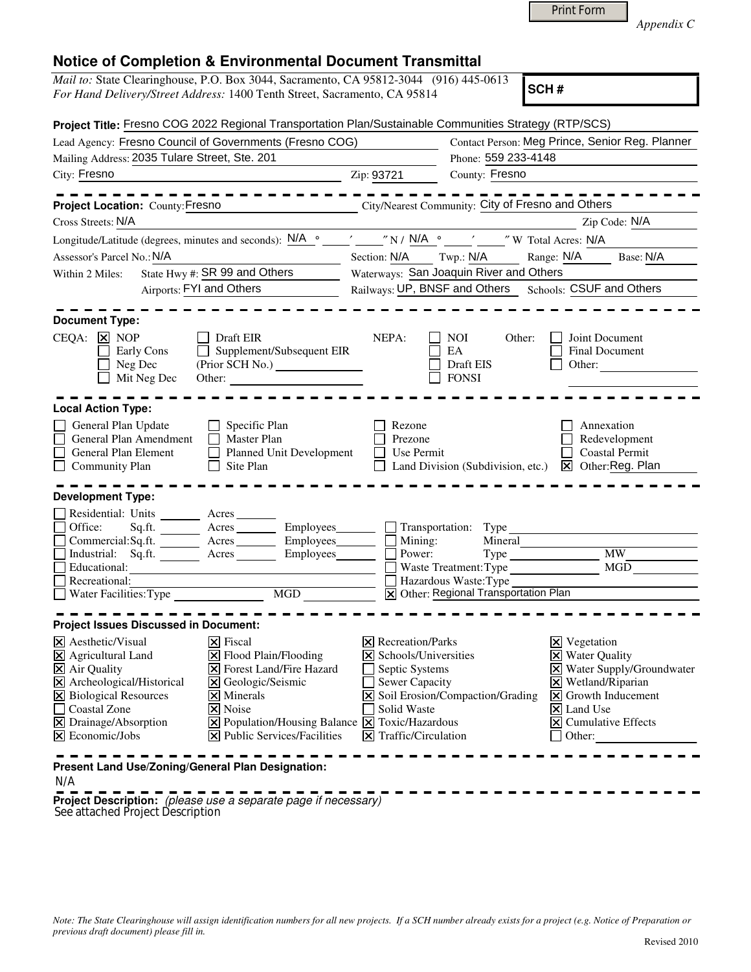|  | Print Form |
|--|------------|
|--|------------|

*Appendix C* 

| Notice of Completion & Environmental Document Fransimital<br><i>Mail to:</i> State Clearinghouse, P.O. Box 3044, Sacramento, CA 95812-3044 (916) 445-0613<br>SCH#<br>For Hand Delivery/Street Address: 1400 Tenth Street, Sacramento, CA 95814                                                                                                                                                                                                                            |                                                                                                                                                                                                                                                                                                                                                                                                                                                                                                                                    |  |
|---------------------------------------------------------------------------------------------------------------------------------------------------------------------------------------------------------------------------------------------------------------------------------------------------------------------------------------------------------------------------------------------------------------------------------------------------------------------------|------------------------------------------------------------------------------------------------------------------------------------------------------------------------------------------------------------------------------------------------------------------------------------------------------------------------------------------------------------------------------------------------------------------------------------------------------------------------------------------------------------------------------------|--|
|                                                                                                                                                                                                                                                                                                                                                                                                                                                                           |                                                                                                                                                                                                                                                                                                                                                                                                                                                                                                                                    |  |
|                                                                                                                                                                                                                                                                                                                                                                                                                                                                           | Project Title: Fresno COG 2022 Regional Transportation Plan/Sustainable Communities Strategy (RTP/SCS)                                                                                                                                                                                                                                                                                                                                                                                                                             |  |
| Lead Agency: Fresno Council of Governments (Fresno COG)                                                                                                                                                                                                                                                                                                                                                                                                                   | Contact Person: Meg Prince, Senior Reg. Planner                                                                                                                                                                                                                                                                                                                                                                                                                                                                                    |  |
| Mailing Address: 2035 Tulare Street, Ste. 201                                                                                                                                                                                                                                                                                                                                                                                                                             | Phone: 559 233-4148                                                                                                                                                                                                                                                                                                                                                                                                                                                                                                                |  |
| City: Fresno                                                                                                                                                                                                                                                                                                                                                                                                                                                              | County: Fresno<br>Zip: 93721                                                                                                                                                                                                                                                                                                                                                                                                                                                                                                       |  |
| - - - - - - - - - -<br>Project Location: County: Fresno                                                                                                                                                                                                                                                                                                                                                                                                                   | City/Nearest Community: City of Fresno and Others                                                                                                                                                                                                                                                                                                                                                                                                                                                                                  |  |
| Cross Streets: N/A                                                                                                                                                                                                                                                                                                                                                                                                                                                        | Zip Code: N/A                                                                                                                                                                                                                                                                                                                                                                                                                                                                                                                      |  |
|                                                                                                                                                                                                                                                                                                                                                                                                                                                                           |                                                                                                                                                                                                                                                                                                                                                                                                                                                                                                                                    |  |
| Assessor's Parcel No.: N/A                                                                                                                                                                                                                                                                                                                                                                                                                                                | Range: N/A<br>Base: N/A<br>Section: N/A<br>Twp.: N/A                                                                                                                                                                                                                                                                                                                                                                                                                                                                               |  |
| State Hwy #: SR 99 and Others<br>Within 2 Miles:                                                                                                                                                                                                                                                                                                                                                                                                                          | Waterways: San Joaquin River and Others                                                                                                                                                                                                                                                                                                                                                                                                                                                                                            |  |
| Airports: FYI and Others                                                                                                                                                                                                                                                                                                                                                                                                                                                  | Railways: UP, BNSF and Others Schools: CSUF and Others                                                                                                                                                                                                                                                                                                                                                                                                                                                                             |  |
|                                                                                                                                                                                                                                                                                                                                                                                                                                                                           |                                                                                                                                                                                                                                                                                                                                                                                                                                                                                                                                    |  |
| <b>Document Type:</b>                                                                                                                                                                                                                                                                                                                                                                                                                                                     |                                                                                                                                                                                                                                                                                                                                                                                                                                                                                                                                    |  |
| $CEQA: \times NOP$<br>Draft EIR<br>Supplement/Subsequent EIR<br>Early Cons<br>Neg Dec<br>(Prior SCH No.)<br>Mit Neg Dec<br>Other:                                                                                                                                                                                                                                                                                                                                         | NEPA:<br>Joint Document<br><b>NOI</b><br>Other:<br>EA<br><b>Final Document</b><br>Draft EIS<br>Other:<br><b>FONSI</b>                                                                                                                                                                                                                                                                                                                                                                                                              |  |
| <b>Local Action Type:</b>                                                                                                                                                                                                                                                                                                                                                                                                                                                 |                                                                                                                                                                                                                                                                                                                                                                                                                                                                                                                                    |  |
| General Plan Update<br>Specific Plan<br>General Plan Amendment<br>Master Plan<br>General Plan Element<br>Planned Unit Development<br>Site Plan<br><b>Community Plan</b>                                                                                                                                                                                                                                                                                                   | Rezone<br>Annexation<br>Prezone<br>Redevelopment<br>Coastal Permit<br>Use Permit<br>$\boxed{\mathsf{X}}$ Other: Reg. Plan<br>Land Division (Subdivision, etc.)                                                                                                                                                                                                                                                                                                                                                                     |  |
| <b>Development Type:</b>                                                                                                                                                                                                                                                                                                                                                                                                                                                  |                                                                                                                                                                                                                                                                                                                                                                                                                                                                                                                                    |  |
| Residential: Units<br>Office:<br>Sq.ft.<br>Acres __________ Employees_<br>Employees_<br>Commercial:Sq.ft.<br>Acres<br>Industrial: Sq.ft. _______ Acres _______<br>Employees_<br>Educational:<br>Recreational:<br><b>MGD</b>                                                                                                                                                                                                                                               | Transportation: Type<br>Mining:<br>Mineral<br><b>MW</b><br>Power:<br><b>MGD</b><br>Waste Treatment: Type<br>Hazardous Waste: Type<br>X Other: Regional Transportation Plan                                                                                                                                                                                                                                                                                                                                                         |  |
| <b>Project Issues Discussed in Document:</b>                                                                                                                                                                                                                                                                                                                                                                                                                              |                                                                                                                                                                                                                                                                                                                                                                                                                                                                                                                                    |  |
| $\overline{\mathsf{x}}$ Fiscal<br>$\times$ Aesthetic/Visual<br>X Agricultural Land<br>X Flood Plain/Flooding<br>$\overline{\mathsf{X}}$ Air Quality<br><b>X</b> Forest Land/Fire Hazard<br>X Archeological/Historical<br>X Geologic/Seismic<br><b>X</b> Biological Resources<br>$\overline{\mathsf{x}}$ Minerals<br>Coastal Zone<br>$\overline{\mathsf{x}}$ Noise<br>X Drainage/Absorption<br>$\boxtimes$ Economic/Jobs<br>$ \mathbf{\nabla} $ Public Services/Facilities | $\times$ Recreation/Parks<br>$\mathbf{\Sigma}$ Vegetation<br>X Schools/Universities<br><b>X</b> Water Quality<br>X Water Supply/Groundwater<br>Septic Systems<br>Sewer Capacity<br>$\boxtimes$ Wetland/Riparian<br>X Soil Erosion/Compaction/Grading<br>Growth Inducement<br>$\mathsf{\underline{x}}$<br>Solid Waste<br>X Land Use<br>$\boxed{\mathsf{X}}$ Population/Housing Balance $\boxed{\mathsf{X}}$ Toxic/Hazardous<br>$\boxed{\mathsf{X}}$ Cumulative Effects<br>$\vert\mathbf{\Sigma}\vert$ Traffic/Circulation<br>Other: |  |
| Present Land Use/Zoning/General Plan Designation:                                                                                                                                                                                                                                                                                                                                                                                                                         |                                                                                                                                                                                                                                                                                                                                                                                                                                                                                                                                    |  |

N/A

**Project Description:** (please use a separate page if necessary) See attached Project Description